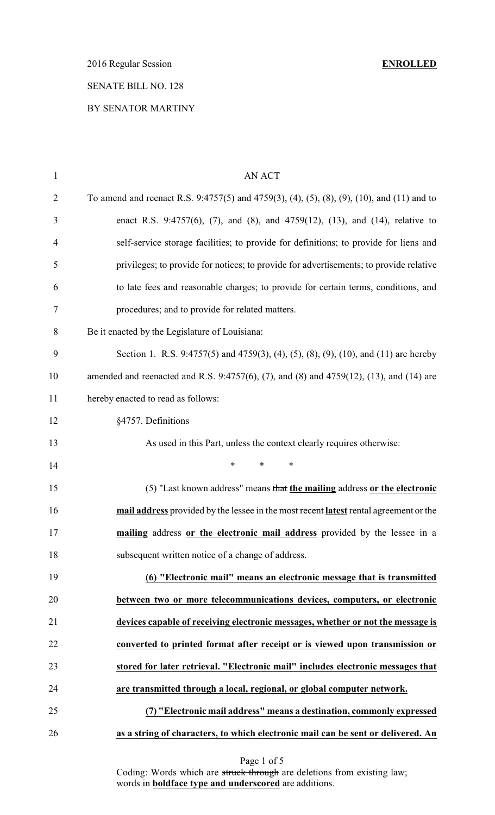2016 Regular Session **ENROLLED**

## SENATE BILL NO. 128

## BY SENATOR MARTINY

| $\mathbf{1}$   | <b>AN ACT</b>                                                                              |
|----------------|--------------------------------------------------------------------------------------------|
| $\overline{2}$ | To amend and reenact R.S. 9:4757(5) and 4759(3), (4), (5), (8), (9), (10), and (11) and to |
| 3              | enact R.S. 9:4757(6), (7), and (8), and 4759(12), (13), and (14), relative to              |
| $\overline{4}$ | self-service storage facilities; to provide for definitions; to provide for liens and      |
| 5              | privileges; to provide for notices; to provide for advertisements; to provide relative     |
| 6              | to late fees and reasonable charges; to provide for certain terms, conditions, and         |
| 7              | procedures; and to provide for related matters.                                            |
| 8              | Be it enacted by the Legislature of Louisiana:                                             |
| 9              | Section 1. R.S. 9:4757(5) and 4759(3), (4), (5), (8), (9), (10), and (11) are hereby       |
| 10             | amended and reenacted and R.S. 9:4757(6), (7), and (8) and 4759(12), (13), and (14) are    |
| 11             | hereby enacted to read as follows:                                                         |
| 12             | §4757. Definitions                                                                         |
| 13             | As used in this Part, unless the context clearly requires otherwise:                       |
| 14             | *<br>*<br>∗                                                                                |
| 15             | (5) "Last known address" means that the mailing address or the electronic                  |
| 16             | mail address provided by the lessee in the most recent latest rental agreement or the      |
| 17             | mailing address or the electronic mail address provided by the lessee in a                 |
| 18             | subsequent written notice of a change of address.                                          |
| 19             | (6) "Electronic mail" means an electronic message that is transmitted                      |
| 20             | between two or more telecommunications devices, computers, or electronic                   |
| 21             | devices capable of receiving electronic messages, whether or not the message is            |
| 22             | converted to printed format after receipt or is viewed upon transmission or                |
| 23             | stored for later retrieval. "Electronic mail" includes electronic messages that            |
| 24             | are transmitted through a local, regional, or global computer network.                     |
| 25             | (7) "Electronic mail address" means a destination, commonly expressed                      |
| 26             | as a string of characters, to which electronic mail can be sent or delivered. An           |
|                |                                                                                            |

Page 1 of 5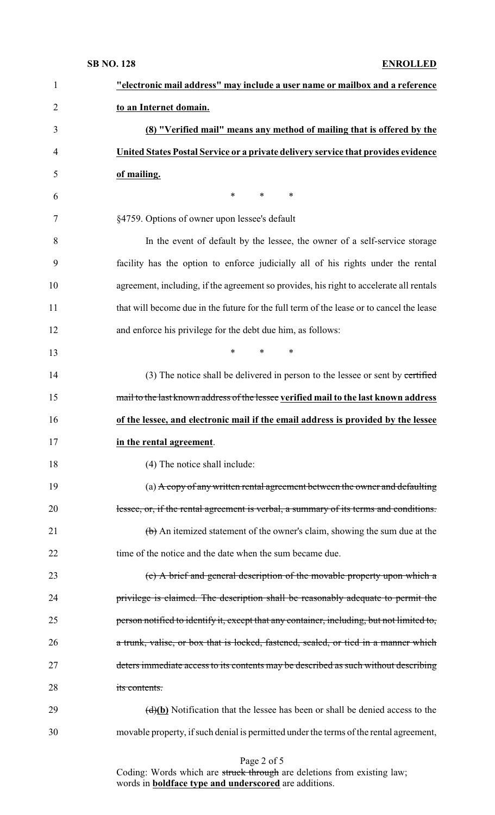| $\mathbf{1}$   | "electronic mail address" may include a user name or mailbox and a reference                      |
|----------------|---------------------------------------------------------------------------------------------------|
| $\overline{2}$ | to an Internet domain.                                                                            |
| 3              | (8) "Verified mail" means any method of mailing that is offered by the                            |
| $\overline{4}$ | United States Postal Service or a private delivery service that provides evidence                 |
| 5              | of mailing.                                                                                       |
| 6              | $\ast$<br>$\ast$<br>∗                                                                             |
| 7              | §4759. Options of owner upon lessee's default                                                     |
| 8              | In the event of default by the lessee, the owner of a self-service storage                        |
| 9              | facility has the option to enforce judicially all of his rights under the rental                  |
| 10             | agreement, including, if the agreement so provides, his right to accelerate all rentals           |
| 11             | that will become due in the future for the full term of the lease or to cancel the lease          |
| 12             | and enforce his privilege for the debt due him, as follows:                                       |
| 13             | $\ast$<br>$\ast$<br>∗                                                                             |
| 14             | (3) The notice shall be delivered in person to the lessee or sent by certified                    |
| 15             | mail to the last known address of the lessee verified mail to the last known address              |
|                |                                                                                                   |
| 16             | of the lessee, and electronic mail if the email address is provided by the lessee                 |
|                | in the rental agreement.                                                                          |
| 18             | (4) The notice shall include:                                                                     |
| 19             | (a) $\overrightarrow{A}$ copy of any written rental agreement between the owner and defaulting    |
| 20             | lessee, or, if the rental agreement is verbal, a summary of its terms and conditions.             |
| 21             | (b) An itemized statement of the owner's claim, showing the sum due at the                        |
| 22             | time of the notice and the date when the sum became due.                                          |
| 23             | (c) A brief and general description of the movable property upon which a                          |
| 24             | privilege is claimed. The description shall be reasonably adequate to permit the                  |
| 17<br>25       | person notified to identify it, except that any container, including, but not limited to,         |
| 26             | a trunk, valise, or box that is locked, fastened, sealed, or tied in a manner which               |
| 27             | deters immediate access to its contents may be described as such without describing               |
| 28             | its contents.                                                                                     |
| 29             | $\left(\frac{d}{b}\right)$ Notification that the lessee has been or shall be denied access to the |

#### Page 2 of 5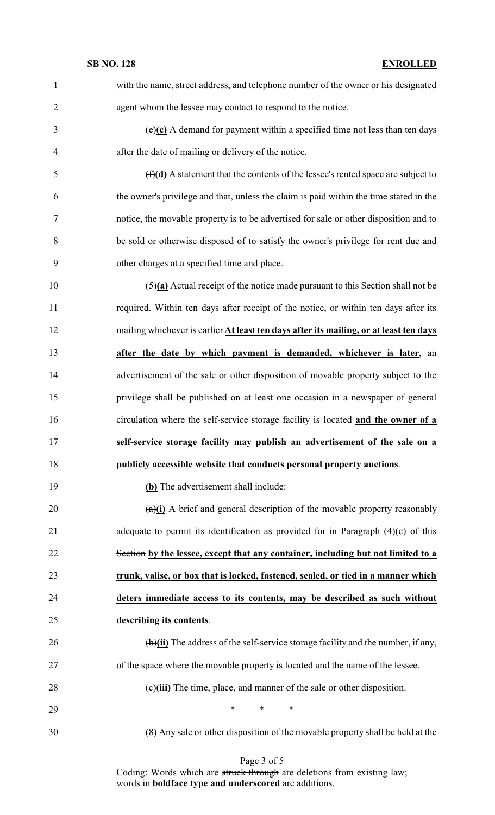with the name, street address, and telephone number of the owner or his designated agent whom the lessee may contact to respond to the notice.

 $\left(\frac{e}{c}\right)$  A demand for payment within a specified time not less than ten days after the date of mailing or delivery of the notice.

 (f)**(d)** A statement that the contents of the lessee's rented space are subject to the owner's privilege and that, unless the claim is paid within the time stated in the notice, the movable property is to be advertised for sale or other disposition and to be sold or otherwise disposed of to satisfy the owner's privilege for rent due and other charges at a specified time and place.

 (5)**(a)** Actual receipt of the notice made pursuant to this Section shall not be 11 required. Within ten days after receipt of the notice, or within ten days after its mailing whichever is earlier **At least ten days after its mailing, or at least ten days after the date by which payment is demanded, whichever is later**, an advertisement of the sale or other disposition of movable property subject to the privilege shall be published on at least one occasion in a newspaper of general circulation where the self-service storage facility is located **and the owner of a self-service storage facility may publish an advertisement of the sale on a publicly accessible website that conducts personal property auctions**.

**(b)** The advertisement shall include:

 (a)**(i)** A brief and general description of the movable property reasonably 21 adequate to permit its identification as provided for in Paragraph  $(4)(c)$  of this Section **by the lessee, except that any container, including but not limited to a trunk, valise, or box that is locked, fastened, sealed, or tied in a manner which deters immediate access to its contents, may be described as such without describing its contents**.

 (b)**(ii)** The address of the self-service storage facility and the number, if any, of the space where the movable property is located and the name of the lessee. 28 (e)(iii) The time, place, and manner of the sale or other disposition.

\* \* \*

(8) Any sale or other disposition of the movable property shall be held at the

Page 3 of 5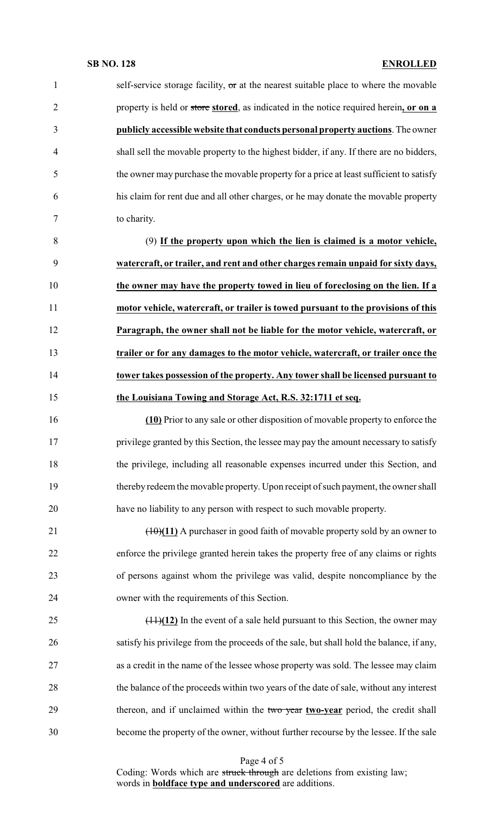## **SB NO. 128 ENROLLED**

| $\mathbf{1}$   | self-service storage facility, or at the nearest suitable place to where the movable     |
|----------------|------------------------------------------------------------------------------------------|
| $\overline{2}$ | property is held or store stored, as indicated in the notice required herein, or on a    |
| 3              | publicly accessible website that conducts personal property auctions. The owner          |
| $\overline{4}$ | shall sell the movable property to the highest bidder, if any. If there are no bidders,  |
| 5              | the owner may purchase the movable property for a price at least sufficient to satisfy   |
| 6              | his claim for rent due and all other charges, or he may donate the movable property      |
| 7              | to charity.                                                                              |
| 8              | (9) If the property upon which the lien is claimed is a motor vehicle,                   |
| 9              | watercraft, or trailer, and rent and other charges remain unpaid for sixty days,         |
| 10             | the owner may have the property towed in lieu of foreclosing on the lien. If a           |
| 11             | motor vehicle, watercraft, or trailer is towed pursuant to the provisions of this        |
| 12             | Paragraph, the owner shall not be liable for the motor vehicle, watercraft, or           |
| 13             | trailer or for any damages to the motor vehicle, watercraft, or trailer once the         |
| 14             | tower takes possession of the property. Any tower shall be licensed pursuant to          |
| 15             | the Louisiana Towing and Storage Act, R.S. 32:1711 et seq.                               |
| 16             | (10) Prior to any sale or other disposition of movable property to enforce the           |
| 17             | privilege granted by this Section, the lessee may pay the amount necessary to satisfy    |
| 18             | the privilege, including all reasonable expenses incurred under this Section, and        |
| 19             | thereby redeem the movable property. Upon receipt of such payment, the owner shall       |
| 20             | have no liability to any person with respect to such movable property.                   |
| 21             | $(10)(11)$ A purchaser in good faith of movable property sold by an owner to             |
| 22             | enforce the privilege granted herein takes the property free of any claims or rights     |
| 23             | of persons against whom the privilege was valid, despite noncompliance by the            |
| 24             | owner with the requirements of this Section.                                             |
| 25             | $(11)(12)$ In the event of a sale held pursuant to this Section, the owner may           |
| 26             | satisfy his privilege from the proceeds of the sale, but shall hold the balance, if any, |
| 27             | as a credit in the name of the lessee whose property was sold. The lessee may claim      |
| 28             | the balance of the proceeds within two years of the date of sale, without any interest   |
| 29             | thereon, and if unclaimed within the two year two-year period, the credit shall          |
| 30             | become the property of the owner, without further recourse by the lessee. If the sale    |
|                |                                                                                          |

Page 4 of 5